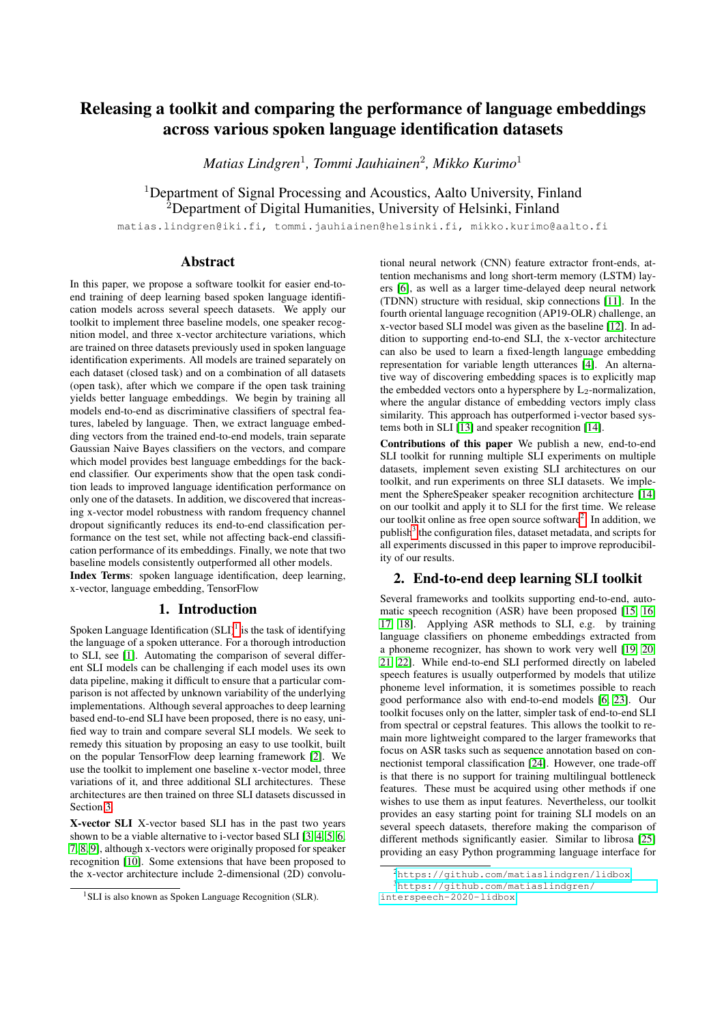# Releasing a toolkit and comparing the performance of language embeddings across various spoken language identification datasets

*Matias Lindgren*<sup>1</sup> *, Tommi Jauhiainen*<sup>2</sup> *, Mikko Kurimo*<sup>1</sup>

<sup>1</sup>Department of Signal Processing and Acoustics, Aalto University, Finland <sup>2</sup>Department of Digital Humanities, University of Helsinki, Finland

matias.lindgren@iki.fi, tommi.jauhiainen@helsinki.fi, mikko.kurimo@aalto.fi

# Abstract

In this paper, we propose a software toolkit for easier end-toend training of deep learning based spoken language identification models across several speech datasets. We apply our toolkit to implement three baseline models, one speaker recognition model, and three x-vector architecture variations, which are trained on three datasets previously used in spoken language identification experiments. All models are trained separately on each dataset (closed task) and on a combination of all datasets (open task), after which we compare if the open task training yields better language embeddings. We begin by training all models end-to-end as discriminative classifiers of spectral features, labeled by language. Then, we extract language embedding vectors from the trained end-to-end models, train separate Gaussian Naive Bayes classifiers on the vectors, and compare which model provides best language embeddings for the backend classifier. Our experiments show that the open task condition leads to improved language identification performance on only one of the datasets. In addition, we discovered that increasing x-vector model robustness with random frequency channel dropout significantly reduces its end-to-end classification performance on the test set, while not affecting back-end classification performance of its embeddings. Finally, we note that two baseline models consistently outperformed all other models. Index Terms: spoken language identification, deep learning, x-vector, language embedding, TensorFlow

## 1. Introduction

Spoken Language Identification  $(SLI)^1$  $(SLI)^1$  is the task of identifying the language of a spoken utterance. For a thorough introduction to SLI, see [\[1\]](#page-4-0). Automating the comparison of several different SLI models can be challenging if each model uses its own data pipeline, making it difficult to ensure that a particular comparison is not affected by unknown variability of the underlying implementations. Although several approaches to deep learning based end-to-end SLI have been proposed, there is no easy, unified way to train and compare several SLI models. We seek to remedy this situation by proposing an easy to use toolkit, built on the popular TensorFlow deep learning framework [\[2\]](#page-4-1). We use the toolkit to implement one baseline x-vector model, three variations of it, and three additional SLI architectures. These architectures are then trained on three SLI datasets discussed in Section [3.](#page-1-0)

X-vector SLI X-vector based SLI has in the past two years shown to be a viable alternative to i-vector based SLI [\[3,](#page-4-2) [4,](#page-4-3) [5,](#page-4-4) [6,](#page-4-5) [7,](#page-4-6) [8,](#page-4-7) [9\]](#page-4-8), although x-vectors were originally proposed for speaker recognition [\[10\]](#page-4-9). Some extensions that have been proposed to the x-vector architecture include 2-dimensional (2D) convolutional neural network (CNN) feature extractor front-ends, attention mechanisms and long short-term memory (LSTM) layers [\[6\]](#page-4-5), as well as a larger time-delayed deep neural network (TDNN) structure with residual, skip connections [\[11\]](#page-4-10). In the fourth oriental language recognition (AP19-OLR) challenge, an x-vector based SLI model was given as the baseline [\[12\]](#page-4-11). In addition to supporting end-to-end SLI, the x-vector architecture can also be used to learn a fixed-length language embedding representation for variable length utterances [\[4\]](#page-4-3). An alternative way of discovering embedding spaces is to explicitly map the embedded vectors onto a hypersphere by  $L_2$ -normalization, where the angular distance of embedding vectors imply class similarity. This approach has outperformed i-vector based systems both in SLI [\[13\]](#page-4-12) and speaker recognition [\[14\]](#page-4-13).

Contributions of this paper We publish a new, end-to-end SLI toolkit for running multiple SLI experiments on multiple datasets, implement seven existing SLI architectures on our toolkit, and run experiments on three SLI datasets. We implement the SphereSpeaker speaker recognition architecture [\[14\]](#page-4-13) on our toolkit and apply it to SLI for the first time. We release our toolkit online as free open source software<sup>[2](#page-0-1)</sup>. In addition, we publish<sup>[3](#page-0-2)</sup> the configuration files, dataset metadata, and scripts for all experiments discussed in this paper to improve reproducibility of our results.

# 2. End-to-end deep learning SLI toolkit

Several frameworks and toolkits supporting end-to-end, auto-matic speech recognition (ASR) have been proposed [\[15,](#page-4-14) [16,](#page-4-15) [17,](#page-4-16) [18\]](#page-4-17). Applying ASR methods to SLI, e.g. by training language classifiers on phoneme embeddings extracted from a phoneme recognizer, has shown to work very well [\[19,](#page-4-18) [20,](#page-4-19) [21,](#page-4-20) [22\]](#page-4-21). While end-to-end SLI performed directly on labeled speech features is usually outperformed by models that utilize phoneme level information, it is sometimes possible to reach good performance also with end-to-end models [\[6,](#page-4-5) [23\]](#page-4-22). Our toolkit focuses only on the latter, simpler task of end-to-end SLI from spectral or cepstral features. This allows the toolkit to remain more lightweight compared to the larger frameworks that focus on ASR tasks such as sequence annotation based on connectionist temporal classification [\[24\]](#page-4-23). However, one trade-off is that there is no support for training multilingual bottleneck features. These must be acquired using other methods if one wishes to use them as input features. Nevertheless, our toolkit provides an easy starting point for training SLI models on an several speech datasets, therefore making the comparison of different methods significantly easier. Similar to librosa [\[25\]](#page-4-24) providing an easy Python programming language interface for

<span id="page-0-0"></span><sup>&</sup>lt;sup>1</sup>SLI is also known as Spoken Language Recognition (SLR).

<span id="page-0-1"></span><sup>2</sup><https://github.com/matiaslindgren/lidbox>

<span id="page-0-2"></span><sup>3</sup>[https://github.com/matiaslindgren/](https://github.com/matiaslindgren/interspeech-2020-lidbox)

[interspeech-2020-lidbox](https://github.com/matiaslindgren/interspeech-2020-lidbox)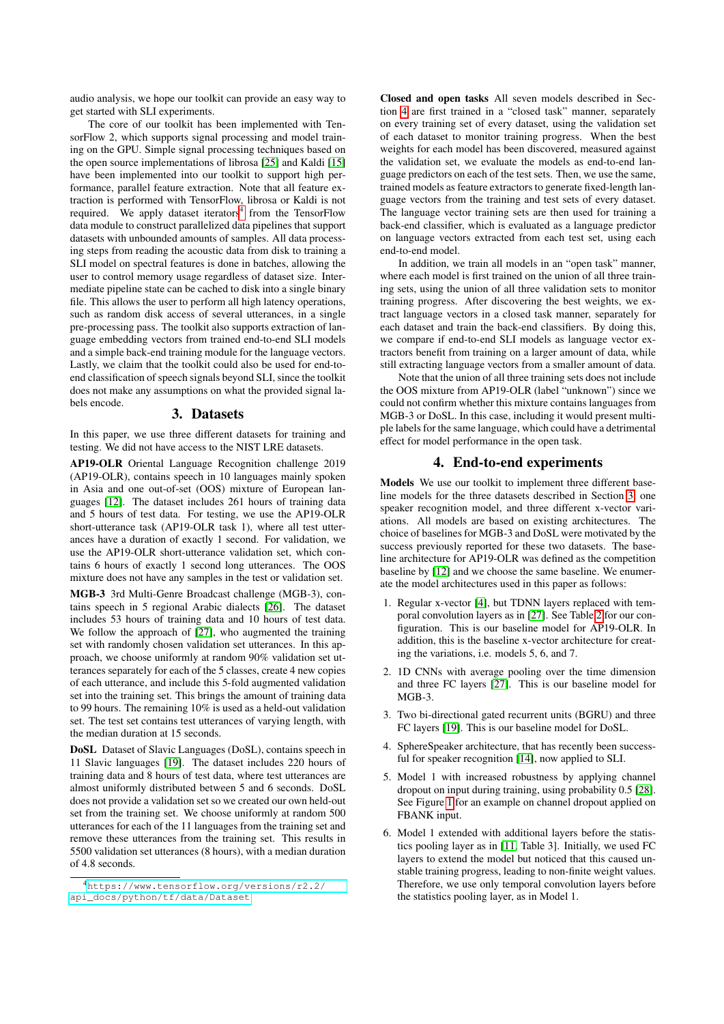audio analysis, we hope our toolkit can provide an easy way to get started with SLI experiments.

The core of our toolkit has been implemented with TensorFlow 2, which supports signal processing and model training on the GPU. Simple signal processing techniques based on the open source implementations of librosa [\[25\]](#page-4-24) and Kaldi [\[15\]](#page-4-14) have been implemented into our toolkit to support high performance, parallel feature extraction. Note that all feature extraction is performed with TensorFlow, librosa or Kaldi is not required. We apply dataset iterators<sup>[4](#page-1-1)</sup> from the TensorFlow data module to construct parallelized data pipelines that support datasets with unbounded amounts of samples. All data processing steps from reading the acoustic data from disk to training a SLI model on spectral features is done in batches, allowing the user to control memory usage regardless of dataset size. Intermediate pipeline state can be cached to disk into a single binary file. This allows the user to perform all high latency operations, such as random disk access of several utterances, in a single pre-processing pass. The toolkit also supports extraction of language embedding vectors from trained end-to-end SLI models and a simple back-end training module for the language vectors. Lastly, we claim that the toolkit could also be used for end-toend classification of speech signals beyond SLI, since the toolkit does not make any assumptions on what the provided signal labels encode.

## 3. Datasets

<span id="page-1-0"></span>In this paper, we use three different datasets for training and testing. We did not have access to the NIST LRE datasets.

AP19-OLR Oriental Language Recognition challenge 2019 (AP19-OLR), contains speech in 10 languages mainly spoken in Asia and one out-of-set (OOS) mixture of European languages [\[12\]](#page-4-11). The dataset includes 261 hours of training data and 5 hours of test data. For testing, we use the AP19-OLR short-utterance task (AP19-OLR task 1), where all test utterances have a duration of exactly 1 second. For validation, we use the AP19-OLR short-utterance validation set, which contains 6 hours of exactly 1 second long utterances. The OOS mixture does not have any samples in the test or validation set.

MGB-3 3rd Multi-Genre Broadcast challenge (MGB-3), contains speech in 5 regional Arabic dialects [\[26\]](#page-4-25). The dataset includes 53 hours of training data and 10 hours of test data. We follow the approach of [\[27\]](#page-4-26), who augmented the training set with randomly chosen validation set utterances. In this approach, we choose uniformly at random 90% validation set utterances separately for each of the 5 classes, create 4 new copies of each utterance, and include this 5-fold augmented validation set into the training set. This brings the amount of training data to 99 hours. The remaining 10% is used as a held-out validation set. The test set contains test utterances of varying length, with the median duration at 15 seconds.

DoSL Dataset of Slavic Languages (DoSL), contains speech in 11 Slavic languages [\[19\]](#page-4-18). The dataset includes 220 hours of training data and 8 hours of test data, where test utterances are almost uniformly distributed between 5 and 6 seconds. DoSL does not provide a validation set so we created our own held-out set from the training set. We choose uniformly at random 500 utterances for each of the 11 languages from the training set and remove these utterances from the training set. This results in 5500 validation set utterances (8 hours), with a median duration of 4.8 seconds.

Closed and open tasks All seven models described in Section [4](#page-1-2) are first trained in a "closed task" manner, separately on every training set of every dataset, using the validation set of each dataset to monitor training progress. When the best weights for each model has been discovered, measured against the validation set, we evaluate the models as end-to-end language predictors on each of the test sets. Then, we use the same, trained models as feature extractors to generate fixed-length language vectors from the training and test sets of every dataset. The language vector training sets are then used for training a back-end classifier, which is evaluated as a language predictor on language vectors extracted from each test set, using each end-to-end model.

In addition, we train all models in an "open task" manner, where each model is first trained on the union of all three training sets, using the union of all three validation sets to monitor training progress. After discovering the best weights, we extract language vectors in a closed task manner, separately for each dataset and train the back-end classifiers. By doing this, we compare if end-to-end SLI models as language vector extractors benefit from training on a larger amount of data, while still extracting language vectors from a smaller amount of data.

Note that the union of all three training sets does not include the OOS mixture from AP19-OLR (label "unknown") since we could not confirm whether this mixture contains languages from MGB-3 or DoSL. In this case, including it would present multiple labels for the same language, which could have a detrimental effect for model performance in the open task.

#### 4. End-to-end experiments

<span id="page-1-2"></span>Models We use our toolkit to implement three different baseline models for the three datasets described in Section [3,](#page-1-0) one speaker recognition model, and three different x-vector variations. All models are based on existing architectures. The choice of baselines for MGB-3 and DoSL were motivated by the success previously reported for these two datasets. The baseline architecture for AP19-OLR was defined as the competition baseline by [\[12\]](#page-4-11) and we choose the same baseline. We enumerate the model architectures used in this paper as follows:

- 1. Regular x-vector [\[4\]](#page-4-3), but TDNN layers replaced with temporal convolution layers as in [\[27\]](#page-4-26). See Table [2](#page-2-0) for our configuration. This is our baseline model for AP19-OLR. In addition, this is the baseline x-vector architecture for creating the variations, i.e. models 5, 6, and 7.
- 2. 1D CNNs with average pooling over the time dimension and three FC layers [\[27\]](#page-4-26). This is our baseline model for MGB-3.
- 3. Two bi-directional gated recurrent units (BGRU) and three FC layers [\[19\]](#page-4-18). This is our baseline model for DoSL.
- 4. SphereSpeaker architecture, that has recently been successful for speaker recognition [\[14\]](#page-4-13), now applied to SLI.
- 5. Model 1 with increased robustness by applying channel dropout on input during training, using probability 0.5 [\[28\]](#page-4-27). See Figure [1](#page-2-1) for an example on channel dropout applied on FBANK input.
- 6. Model 1 extended with additional layers before the statistics pooling layer as in [\[11,](#page-4-10) Table 3]. Initially, we used FC layers to extend the model but noticed that this caused unstable training progress, leading to non-finite weight values. Therefore, we use only temporal convolution layers before the statistics pooling layer, as in Model 1.

<span id="page-1-1"></span><sup>4</sup>[https://www.tensorflow.org/versions/r2.2/](https://www.tensorflow.org/versions/r2.2/api_docs/python/tf/data/Dataset) [api\\_docs/python/tf/data/Dataset](https://www.tensorflow.org/versions/r2.2/api_docs/python/tf/data/Dataset)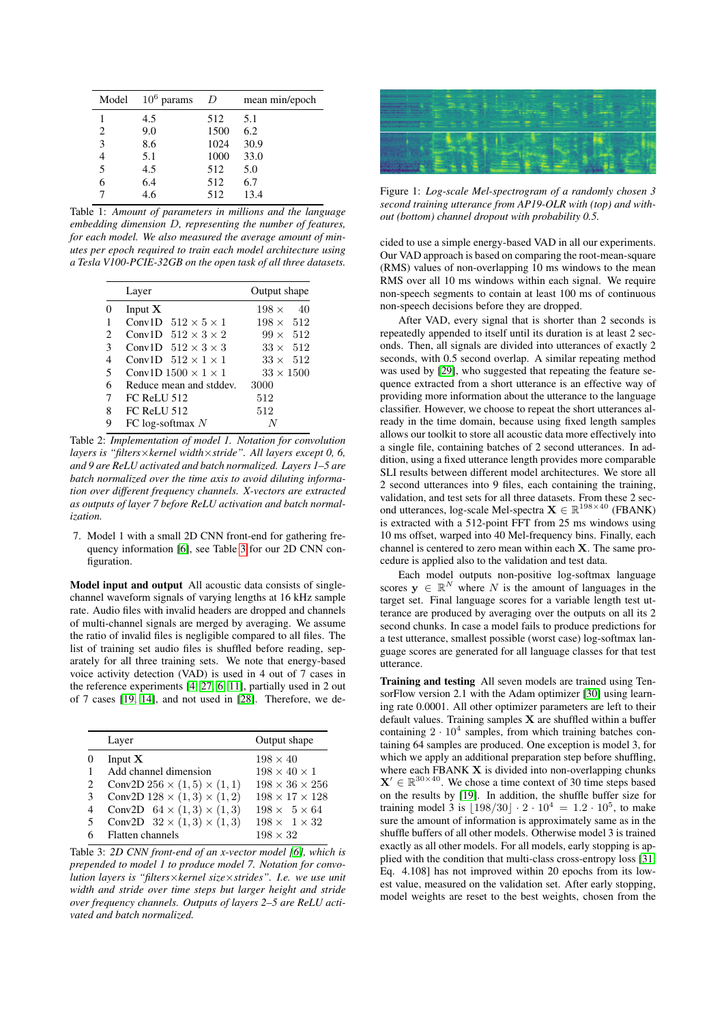<span id="page-2-3"></span>

| Model | $10^6$ params | D    | mean min/epoch |
|-------|---------------|------|----------------|
|       | 4.5           | 512  | 5.1            |
| 2     | 9.0           | 1500 | 6.2            |
| 3     | 8.6           | 1024 | 30.9           |
|       | 5.1           | 1000 | 33.0           |
| 5     | 4.5           | 512  | 5.0            |
|       | 6.4           | 512  | 6.7            |
|       | 4.6           | 512  | 13.4           |

Table 1: *Amount of parameters in millions and the language embedding dimension* D*, representing the number of features, for each model. We also measured the average amount of minutes per epoch required to train each model architecture using a Tesla V100-PCIE-32GB on the open task of all three datasets.*

<span id="page-2-0"></span>

|   | Layer                           | Output shape          |  |
|---|---------------------------------|-----------------------|--|
| 0 | Input $X$                       | $198 \times$<br>40    |  |
|   | Conv1D $512 \times 5 \times 1$  | $198 \times$<br>- 512 |  |
| 2 | Conv1D $512 \times 3 \times 2$  | $99 \times 512$       |  |
| 3 | Conv1D $512 \times 3 \times 3$  | 512<br>$33 \times$    |  |
| 4 | Conv1D $512 \times 1 \times 1$  | 512<br>$33 \times$    |  |
| 5 | Conv1D $1500 \times 1 \times 1$ | $33 \times 1500$      |  |
| 6 | Reduce mean and stddev.         | 3000                  |  |
| 7 | <b>FC ReLU 512</b>              | 512                   |  |
| 8 | <b>FC ReLU 512</b>              | 512                   |  |
| 9 | FC log-softmax $N$              |                       |  |

Table 2: *Implementation of model 1. Notation for convolution layers is "filters*×*kernel width*×*stride". All layers except 0, 6, and 9 are ReLU activated and batch normalized. Layers 1–5 are batch normalized over the time axis to avoid diluting information over different frequency channels. X-vectors are extracted as outputs of layer 7 before ReLU activation and batch normalization.*

7. Model 1 with a small 2D CNN front-end for gathering frequency information [\[6\]](#page-4-5), see Table [3](#page-2-2) for our 2D CNN configuration.

Model input and output All acoustic data consists of singlechannel waveform signals of varying lengths at 16 kHz sample rate. Audio files with invalid headers are dropped and channels of multi-channel signals are merged by averaging. We assume the ratio of invalid files is negligible compared to all files. The list of training set audio files is shuffled before reading, separately for all three training sets. We note that energy-based voice activity detection (VAD) is used in 4 out of 7 cases in the reference experiments [\[4,](#page-4-3) [27,](#page-4-26) [6,](#page-4-5) [11\]](#page-4-10), partially used in 2 out of 7 cases [\[19,](#page-4-18) [14\]](#page-4-13), and not used in [\[28\]](#page-4-27). Therefore, we de-

<span id="page-2-2"></span>

|               | Layer                                  | Output shape               |
|---------------|----------------------------------------|----------------------------|
| 0             | Input $X$                              | $198 \times 40$            |
| 1             | Add channel dimension                  | $198 \times 40 \times 1$   |
| $\mathcal{L}$ | Conv2D $256 \times (1,5) \times (1,1)$ | $198 \times 36 \times 256$ |
| $\mathcal{F}$ | Conv2D $128 \times (1,3) \times (1,2)$ | $198 \times 17 \times 128$ |
| 4             | Conv2D $64 \times (1,3) \times (1,3)$  | $198 \times 5 \times 64$   |
| -5            | Conv2D $32 \times (1,3) \times (1,3)$  | $198 \times 1 \times 32$   |
|               | Flatten channels                       | $198 \times 32$            |

Table 3: *2D CNN front-end of an x-vector model [\[6\]](#page-4-5), which is prepended to model 1 to produce model 7. Notation for convolution layers is "filters*×*kernel size*×*strides". I.e. we use unit width and stride over time steps but larger height and stride over frequency channels. Outputs of layers 2–5 are ReLU activated and batch normalized.*

<span id="page-2-1"></span>

Figure 1: *Log-scale Mel-spectrogram of a randomly chosen 3 second training utterance from AP19-OLR with (top) and without (bottom) channel dropout with probability 0.5.*

cided to use a simple energy-based VAD in all our experiments. Our VAD approach is based on comparing the root-mean-square (RMS) values of non-overlapping 10 ms windows to the mean RMS over all 10 ms windows within each signal. We require non-speech segments to contain at least 100 ms of continuous non-speech decisions before they are dropped.

After VAD, every signal that is shorter than 2 seconds is repeatedly appended to itself until its duration is at least 2 seconds. Then, all signals are divided into utterances of exactly 2 seconds, with 0.5 second overlap. A similar repeating method was used by [\[29\]](#page-4-28), who suggested that repeating the feature sequence extracted from a short utterance is an effective way of providing more information about the utterance to the language classifier. However, we choose to repeat the short utterances already in the time domain, because using fixed length samples allows our toolkit to store all acoustic data more effectively into a single file, containing batches of 2 second utterances. In addition, using a fixed utterance length provides more comparable SLI results between different model architectures. We store all 2 second utterances into 9 files, each containing the training, validation, and test sets for all three datasets. From these 2 second utterances, log-scale Mel-spectra  $\mathbf{X} \in \mathbb{R}^{198 \times 40}$  (FBANK) is extracted with a 512-point FFT from 25 ms windows using 10 ms offset, warped into 40 Mel-frequency bins. Finally, each channel is centered to zero mean within each X. The same procedure is applied also to the validation and test data.

Each model outputs non-positive log-softmax language scores  $y \in \mathbb{R}^N$  where N is the amount of languages in the target set. Final language scores for a variable length test utterance are produced by averaging over the outputs on all its 2 second chunks. In case a model fails to produce predictions for a test utterance, smallest possible (worst case) log-softmax language scores are generated for all language classes for that test utterance.

Training and testing All seven models are trained using TensorFlow version 2.1 with the Adam optimizer [\[30\]](#page-4-29) using learning rate 0.0001. All other optimizer parameters are left to their default values. Training samples  $X$  are shuffled within a buffer containing  $2 \cdot 10^4$  samples, from which training batches containing 64 samples are produced. One exception is model 3, for which we apply an additional preparation step before shuffling, where each FBANK  $X$  is divided into non-overlapping chunks  $X' \in \mathbb{R}^{30 \times 40}$ . We chose a time context of 30 time steps based on the results by [\[19\]](#page-4-18). In addition, the shuffle buffer size for training model 3 is  $\lfloor 198/30 \rfloor \cdot 2 \cdot 10^4 = 1.2 \cdot 10^5$ , to make sure the amount of information is approximately same as in the shuffle buffers of all other models. Otherwise model 3 is trained exactly as all other models. For all models, early stopping is applied with the condition that multi-class cross-entropy loss [\[31,](#page-4-30) Eq. 4.108] has not improved within 20 epochs from its lowest value, measured on the validation set. After early stopping, model weights are reset to the best weights, chosen from the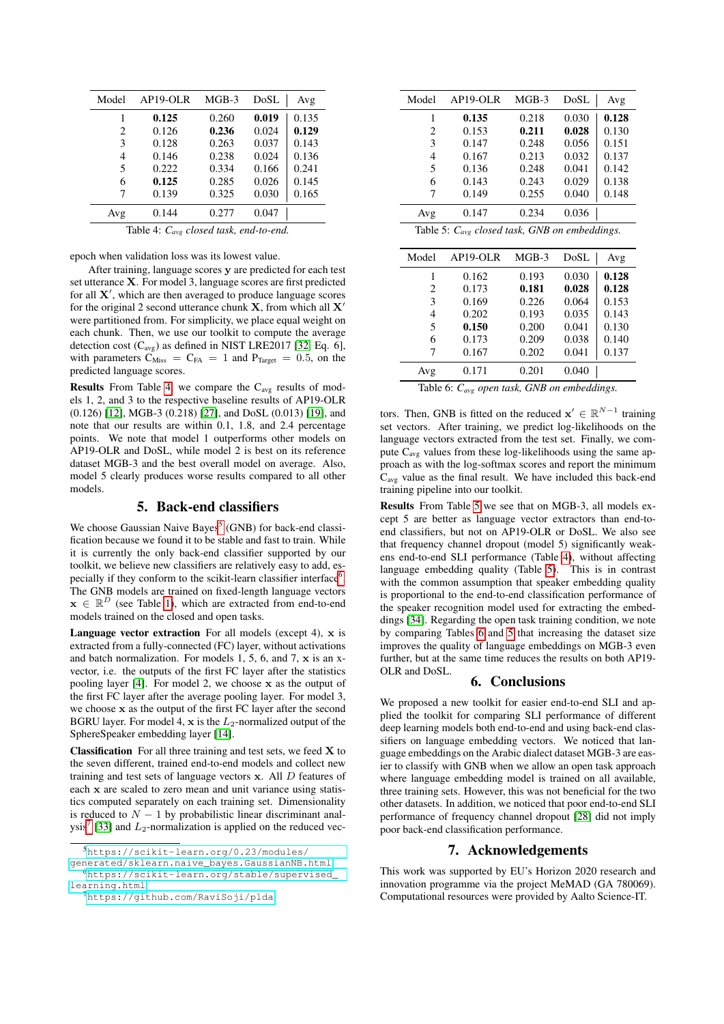<span id="page-3-0"></span>

| Model                                              | AP19-OLR | $MGB-3$ | DoSL  | Avg   |
|----------------------------------------------------|----------|---------|-------|-------|
|                                                    | 0.125    | 0.260   | 0.019 | 0.135 |
| 2                                                  | 0.126    | 0.236   | 0.024 | 0.129 |
| 3                                                  | 0.128    | 0.263   | 0.037 | 0.143 |
| 4                                                  | 0.146    | 0.238   | 0.024 | 0.136 |
| 5                                                  | 0.222    | 0.334   | 0.166 | 0.241 |
| 6                                                  | 0.125    | 0.285   | 0.026 | 0.145 |
| 7                                                  | 0.139    | 0.325   | 0.030 | 0.165 |
| Avg                                                | 0.144    | 0.277   | 0.047 |       |
| Table 4: $C_{\text{avg}}$ closed task, end-to-end. |          |         |       |       |

epoch when validation loss was its lowest value.

After training, language scores y are predicted for each test set utterance X. For model 3, language scores are first predicted for all  $X'$ , which are then averaged to produce language scores for the original 2 second utterance chunk  $X$ , from which all  $X'$ were partitioned from. For simplicity, we place equal weight on each chunk. Then, we use our toolkit to compute the average detection cost  $(C_{avg})$  as defined in NIST LRE2017 [\[32,](#page-4-31) Eq. 6], with parameters  $C_{Miss} = C_{FA} = 1$  and  $P_{Target} = 0.5$ , on the predicted language scores.

**Results** From Table [4,](#page-3-0) we compare the  $C_{avg}$  results of models 1, 2, and 3 to the respective baseline results of AP19-OLR (0.126) [\[12\]](#page-4-11), MGB-3 (0.218) [\[27\]](#page-4-26), and DoSL (0.013) [\[19\]](#page-4-18), and note that our results are within 0.1, 1.8, and 2.4 percentage points. We note that model 1 outperforms other models on AP19-OLR and DoSL, while model 2 is best on its reference dataset MGB-3 and the best overall model on average. Also, model 5 clearly produces worse results compared to all other models.

# 5. Back-end classifiers

We choose Gaussian Naive Bayes<sup>[5](#page-3-1)</sup> (GNB) for back-end classification because we found it to be stable and fast to train. While it is currently the only back-end classifier supported by our toolkit, we believe new classifiers are relatively easy to add, es-pecially if they conform to the scikit-learn classifier interface<sup>[6](#page-3-2)</sup>. The GNB models are trained on fixed-length language vectors  $\mathbf{x} \in \mathbb{R}^D$  (see Table [1\)](#page-2-3), which are extracted from end-to-end models trained on the closed and open tasks.

**Language vector extraction** For all models (except 4),  $x$  is extracted from a fully-connected (FC) layer, without activations and batch normalization. For models  $1, 5, 6$ , and  $7$ ,  $x$  is an xvector, i.e. the outputs of the first FC layer after the statistics pooling layer [\[4\]](#page-4-3). For model 2, we choose x as the output of the first FC layer after the average pooling layer. For model 3, we choose x as the output of the first FC layer after the second BGRU layer. For model 4,  $x$  is the  $L_2$ -normalized output of the SphereSpeaker embedding layer [\[14\]](#page-4-13).

**Classification** For all three training and test sets, we feed  $X$  to the seven different, trained end-to-end models and collect new training and test sets of language vectors  $x$ . All  $D$  features of each x are scaled to zero mean and unit variance using statistics computed separately on each training set. Dimensionality is reduced to  $N - 1$  by probabilistic linear discriminant anal-ysis<sup>[7](#page-3-3)</sup> [\[33\]](#page-4-32) and  $L_2$ -normalization is applied on the reduced vec-

<span id="page-3-4"></span>

| Model | AP19-OLR                                           | MGB-3   | DoSL  | Avg   |
|-------|----------------------------------------------------|---------|-------|-------|
| 1     | 0.135                                              | 0.218   | 0.030 | 0.128 |
| 2     | 0.153                                              | 0.211   | 0.028 | 0.130 |
| 3     | 0.147                                              | 0.248   | 0.056 | 0.151 |
| 4     | 0.167                                              | 0.213   | 0.032 | 0.137 |
| 5     | 0.136                                              | 0.248   | 0.041 | 0.142 |
| 6     | 0.143                                              | 0.243   | 0.029 | 0.138 |
| 7     | 0.149                                              | 0.255   | 0.040 | 0.148 |
| Avg   | 0.147                                              | 0.234   | 0.036 |       |
|       | Table 5: $C_{avg}$ closed task, GNB on embeddings. |         |       |       |
| Model | AP19-OLR                                           | $MGB-3$ | DoSL  | Avg   |
| 1     | 0.162                                              | 0.193   | 0.030 | 0.128 |
| 2     | 0.173                                              | 0.181   | 0.028 | 0.128 |
| 3     | 0.169                                              | 0.226   | 0.064 | 0.153 |
| 4     | 0.202                                              | 0.193   | 0.035 | 0.143 |
|       |                                                    |         |       |       |
| 5     | 0.150                                              | 0.200   | 0.041 | 0.130 |
| 6     | 0.173                                              | 0.209   | 0.038 | 0.140 |
| 7     | 0.167                                              | 0.202   | 0.041 | 0.137 |
| Avg   | 0.171                                              | 0.201   | 0.040 |       |

<span id="page-3-5"></span>Table 6: *Cavg open task, GNB on embeddings.*

tors. Then, GNB is fitted on the reduced  $\mathbf{x}' \in \mathbb{R}^{N-1}$  training set vectors. After training, we predict log-likelihoods on the language vectors extracted from the test set. Finally, we compute Cavg values from these log-likelihoods using the same approach as with the log-softmax scores and report the minimum Cavg value as the final result. We have included this back-end training pipeline into our toolkit.

Results From Table [5](#page-3-4) we see that on MGB-3, all models except 5 are better as language vector extractors than end-toend classifiers, but not on AP19-OLR or DoSL. We also see that frequency channel dropout (model 5) significantly weakens end-to-end SLI performance (Table [4\)](#page-3-0), without affecting language embedding quality (Table [5\)](#page-3-4). This is in contrast with the common assumption that speaker embedding quality is proportional to the end-to-end classification performance of the speaker recognition model used for extracting the embeddings [\[34\]](#page-4-33). Regarding the open task training condition, we note by comparing Tables [6](#page-3-5) and [5](#page-3-4) that increasing the dataset size improves the quality of language embeddings on MGB-3 even further, but at the same time reduces the results on both AP19- OLR and DoSL.

#### 6. Conclusions

We proposed a new toolkit for easier end-to-end SLI and applied the toolkit for comparing SLI performance of different deep learning models both end-to-end and using back-end classifiers on language embedding vectors. We noticed that language embeddings on the Arabic dialect dataset MGB-3 are easier to classify with GNB when we allow an open task approach where language embedding model is trained on all available, three training sets. However, this was not beneficial for the two other datasets. In addition, we noticed that poor end-to-end SLI performance of frequency channel dropout [\[28\]](#page-4-27) did not imply poor back-end classification performance.

### 7. Acknowledgements

This work was supported by EU's Horizon 2020 research and innovation programme via the project MeMAD (GA 780069). Computational resources were provided by Aalto Science-IT.

<span id="page-3-1"></span><sup>5</sup>[https://scikit-learn.org/0.23/modules/](https://scikit-learn.org/0.23/modules/generated/sklearn.naive_bayes.GaussianNB.html) [generated/sklearn.naive\\_bayes.GaussianNB.html](https://scikit-learn.org/0.23/modules/generated/sklearn.naive_bayes.GaussianNB.html)

<span id="page-3-2"></span><sup>6</sup>[https://scikit-learn.org/stable/supervised\\_](https://scikit-learn.org/stable/supervised_learning.html) [learning.html](https://scikit-learn.org/stable/supervised_learning.html)

<span id="page-3-3"></span><sup>7</sup><https://github.com/RaviSoji/plda>